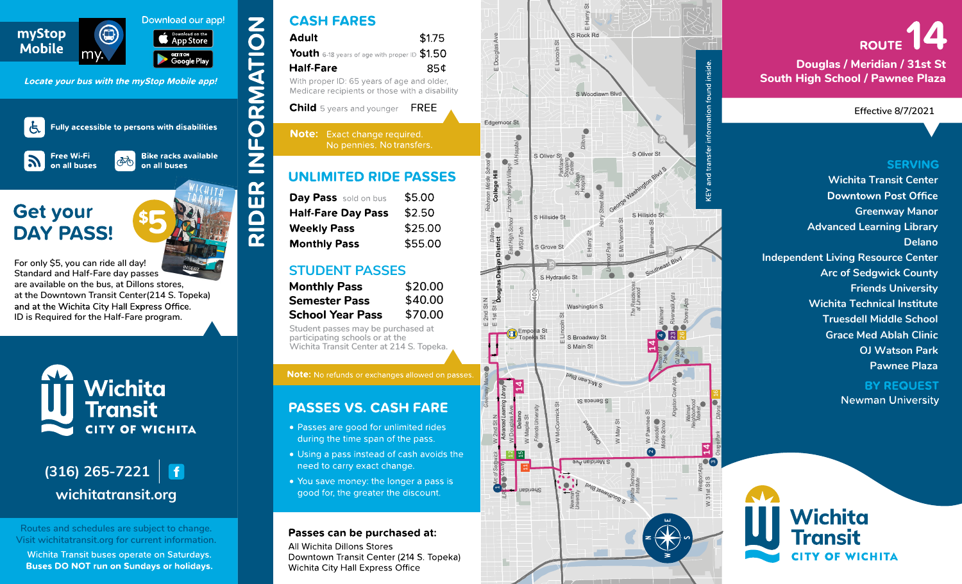



## **CASH FARES**

| \$1.75                                                                                       |
|----------------------------------------------------------------------------------------------|
| Youth 6-18 years of age with proper ID \$1.50                                                |
| 85¢                                                                                          |
| With proper ID: 65 years of age and older,<br>Medicare recipients or those with a disability |
| FRFF                                                                                         |
|                                                                                              |

| <b>Day Pass</b> sold on bus | \$5.00  |
|-----------------------------|---------|
| <b>Half-Fare Day Pass</b>   | \$2.50  |
| <b>Weekly Pass</b>          | \$25.00 |
| <b>Monthly Pass</b>         | \$55.00 |

| <b>Monthly Pass</b>     | \$20.00 |
|-------------------------|---------|
| <b>Semester Pass</b>    | \$40.00 |
| <b>School Year Pass</b> | \$70.00 |

- 
- 
- 



# **ROUTE**